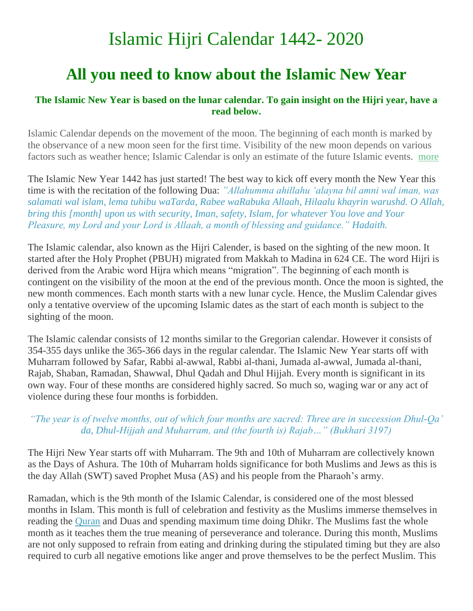# Islamic Hijri Calendar 1442- 2020

## **All you need to know about the Islamic New Year**

#### **The Islamic New Year is based on the lunar calendar. To gain insight on the Hijri year, have a read below.**

Islamic Calendar depends on the movement of the moon. The beginning of each month is marked by the observance of a new moon seen for the first time. Visibility of the new moon depends on various factors such as weather hence; Islamic Calendar is only an estimate of the future Islamic events. [more](https://www.islamicfinder.org/islamic-calendar/)

The Islamic New Year 1442 has just started! The best way to kick off every month the New Year this time is with the recitation of the following Dua: *"Allahumma ahillahu "alayna bil amni wal iman, was salamati wal islam, lema tuhibu waTarda, Rabee waRabuka Allaah, Hilaalu khayrin warushd. O Allah, bring this [month] upon us with security, Iman, safety, Islam, for whatever You love and Your Pleasure, my Lord and your Lord is Allaah, a month of blessing and guidance." Hadaith.*

The Islamic calendar, also known as the Hijri Calender, is based on the sighting of the new moon. It started after the Holy Prophet (PBUH) migrated from Makkah to Madina in 624 CE. The word Hijri is derived from the Arabic word Hijra which means "migration". The beginning of each month is contingent on the visibility of the moon at the end of the previous month. Once the moon is sighted, the new month commences. Each month starts with a new lunar cycle. Hence, the Muslim Calendar gives only a tentative overview of the upcoming Islamic dates as the start of each month is subject to the sighting of the moon.

The Islamic calendar consists of 12 months similar to the Gregorian calendar. However it consists of 354-355 days unlike the 365-366 days in the regular calendar. The Islamic New Year starts off with Muharram followed by Safar, Rabbi al-awwal, Rabbi al-thani, Jumada al-awwal, Jumada al-thani, Rajab, Shaban, Ramadan, Shawwal, Dhul Qadah and Dhul Hijjah. Every month is significant in its own way. Four of these months are considered highly sacred. So much so, waging war or any act of violence during these four months is forbidden.

#### *"The year is of twelve months, out of which four months are sacred: Three are in succession Dhul-Qa" da, Dhul-Hijjah and Muharram, and (the fourth is) Rajab…" (Bukhari 3197)*

The Hijri New Year starts off with Muharram. The 9th and 10th of Muharram are collectively known as the Days of Ashura. The 10th of Muharram holds significance for both Muslims and Jews as this is the day Allah (SWT) saved Prophet Musa (AS) and his people from the Pharaoh"s army.

Ramadan, which is the 9th month of the Islamic Calendar, is considered one of the most blessed months in Islam. This month is full of celebration and festivity as the Muslims immerse themselves in reading the [Quran](https://www.islamicfinder.org/quran/) and Duas and spending maximum time doing Dhikr. The Muslims fast the whole month as it teaches them the true meaning of perseverance and tolerance. During this month, Muslims are not only supposed to refrain from eating and drinking during the stipulated timing but they are also required to curb all negative emotions like anger and prove themselves to be the perfect Muslim. This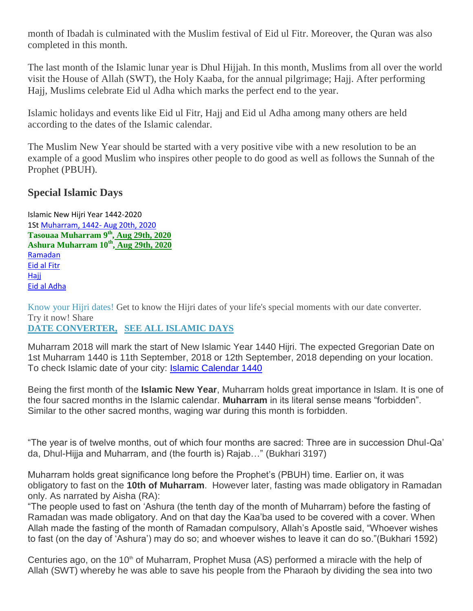month of Ibadah is culminated with the Muslim festival of Eid ul Fitr. Moreover, the Quran was also completed in this month.

The last month of the Islamic lunar year is Dhul Hijjah. In this month, Muslims from all over the world visit the House of Allah (SWT), the Holy Kaaba, for the annual pilgrimage; Hajj. After performing Hajj, Muslims celebrate Eid ul Adha which marks the perfect end to the year.

Islamic holidays and events like Eid ul Fitr, Hajj and Eid ul Adha among many others are held according to the dates of the Islamic calendar.

The Muslim New Year should be started with a very positive vibe with a new resolution to be an example of a good Muslim who inspires other people to do good as well as follows the Sunnah of the Prophet (PBUH).

### **Special Islamic Days**

Islamic New Hijri Year 1442-2020 1St [Muharram, 1442-](https://www.islamicfinder.org/special-islamic-days/muharram/) Aug 20th, 2020 **[Tasouaa Muharram 9](https://www.islamicfinder.org/special-islamic-days/ashoora/)th , Aug 29th, 2020 [Ashura Muharram 10](https://www.islamicfinder.org/special-islamic-days/ashoora/)th , Aug 29th, 2020** [Ramadan](https://www.islamicfinder.org/special-islamic-days/ramadan-2018/)  [Eid al Fitr](https://www.islamicfinder.org/special-islamic-days/eid-al-fitr-2018/) [Hajj](https://www.islamicfinder.org/special-islamic-days/hajj-2018/) [Eid al Adha](https://www.islamicfinder.org/special-islamic-days/eid-al-adha-2018/)

Know your Hijri dates! Get to know the Hijri dates of your life's special moments with our date converter. Try it now! Share

#### **[DATE CONVERTER,](https://www.islamicfinder.org/islamic-date-converter/)** , **[SEE ALL ISLAMIC DAYS](https://www.islamicfinder.org/special-islamic-days/)**

Muharram 2018 will mark the start of New Islamic Year 1440 Hijri. The expected Gregorian Date on 1st Muharram 1440 is 11th September, 2018 or 12th September, 2018 depending on your location. To check Islamic date of your city: **[Islamic Calendar 1440](https://www.islamicfinder.org/islamic-calendar/1440/Muharram/?type=Hijri)** 

Being the first month of the **Islamic New Year**, Muharram holds great importance in Islam. It is one of the four sacred months in the Islamic calendar. **Muharram** in its literal sense means "forbidden". Similar to the other sacred months, waging war during this month is forbidden.

"The year is of twelve months, out of which four months are sacred: Three are in succession Dhul-Qa" da, Dhul-Hijja and Muharram, and (the fourth is) Rajab…" (Bukhari 3197)

Muharram holds great significance long before the Prophet"s (PBUH) time. Earlier on, it was obligatory to fast on the **10th of Muharram**. However later, fasting was made obligatory in Ramadan only. As narrated by Aisha (RA):

"The people used to fast on "Ashura (the tenth day of the month of Muharram) before the fasting of Ramadan was made obligatory. And on that day the Kaa"ba used to be covered with a cover. When Allah made the fasting of the month of Ramadan compulsory, Allah"s Apostle said, "Whoever wishes to fast (on the day of "Ashura") may do so; and whoever wishes to leave it can do so."(Bukhari 1592)

Centuries ago, on the  $10<sup>th</sup>$  of Muharram, Prophet Musa (AS) performed a miracle with the help of Allah (SWT) whereby he was able to save his people from the Pharaoh by dividing the sea into two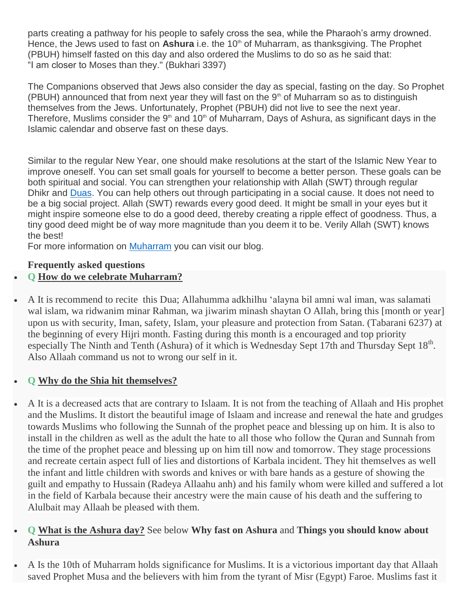parts creating a pathway for his people to safely cross the sea, while the Pharaoh"s army drowned. Hence, the Jews used to fast on **Ashura** i.e. the 10<sup>th</sup> of Muharram, as thanksgiving. The Prophet (PBUH) himself fasted on this day and also ordered the Muslims to do so as he said that: "I am closer to Moses than they." (Bukhari 3397)

The Companions observed that Jews also consider the day as special, fasting on the day. So Prophet (PBUH) announced that from next year they will fast on the  $9<sup>th</sup>$  of Muharram so as to distinguish themselves from the Jews. Unfortunately, Prophet (PBUH) did not live to see the next year. Therefore, Muslims consider the  $9<sup>th</sup>$  and 10<sup>th</sup> of Muharram, Days of Ashura, as significant days in the Islamic calendar and observe fast on these days.

Similar to the regular New Year, one should make resolutions at the start of the Islamic New Year to improve oneself. You can set small goals for yourself to become a better person. These goals can be both spiritual and social. You can strengthen your relationship with Allah (SWT) through regular Dhikr and [Duas.](https://www.islamicfinder.org/duas/) You can help others out through participating in a social cause. It does not need to be a big social project. Allah (SWT) rewards every good deed. It might be small in your eyes but it might inspire someone else to do a good deed, thereby creating a ripple effect of goodness. Thus, a tiny good deed might be of way more magnitude than you deem it to be. Verily Allah (SWT) knows the best!

For more information on [Muharram](https://www.islamicfinder.org/iqra/misconceptions-about-muharram/) you can visit our blog.

#### **Frequently asked questions**

#### **Q [How do we celebrate Muharram?](https://www.islamicfinder.org/special-islamic-days/muharram/#collapse1)**

 A It is recommend to recite this Dua; Allahumma adkhilhu "alayna bil amni wal iman, was salamati wal islam, wa ridwanim minar Rahman, wa jiwarim minash shaytan O Allah, bring this [month or year] upon us with security, Iman, safety, Islam, your pleasure and protection from Satan. (Tabarani 6237) at the beginning of every Hijri month. Fasting during this month is a encouraged and top priority especially The Ninth and Tenth (Ashura) of it which is Wednesday Sept 17th and Thursday Sept 18<sup>th</sup>. Also Allaah command us not to wrong our self in it.

#### **Q [Why do the Shia hit themselves?](https://www.islamicfinder.org/special-islamic-days/muharram/#collapse1)**

 A It is a decreased acts that are contrary to Islaam. It is not from the teaching of Allaah and His prophet and the Muslims. It distort the beautiful image of Islaam and increase and renewal the hate and grudges towards Muslims who following the Sunnah of the prophet peace and blessing up on him. It is also to install in the children as well as the adult the hate to all those who follow the Quran and Sunnah from the time of the prophet peace and blessing up on him till now and tomorrow. They stage processions and recreate certain aspect full of lies and distortions of Karbala incident. They hit themselves as well the infant and little children with swords and knives or with bare hands as a gesture of showing the guilt and empathy to Hussain (Radeya Allaahu anh) and his family whom were killed and suffered a lot in the field of Karbala because their ancestry were the main cause of his death and the suffering to Alulbait may Allaah be pleased with them.

#### **Q [What is the Ashura day?](https://www.islamicfinder.org/special-islamic-days/muharram/#collapse1)** See below **Why fast on Ashura** and **Things you should know about Ashura**

 A Is the 10th of Muharram holds significance for Muslims. It is a victorious important day that Allaah saved Prophet Musa and the believers with him from the tyrant of Misr (Egypt) Faroe. Muslims fast it